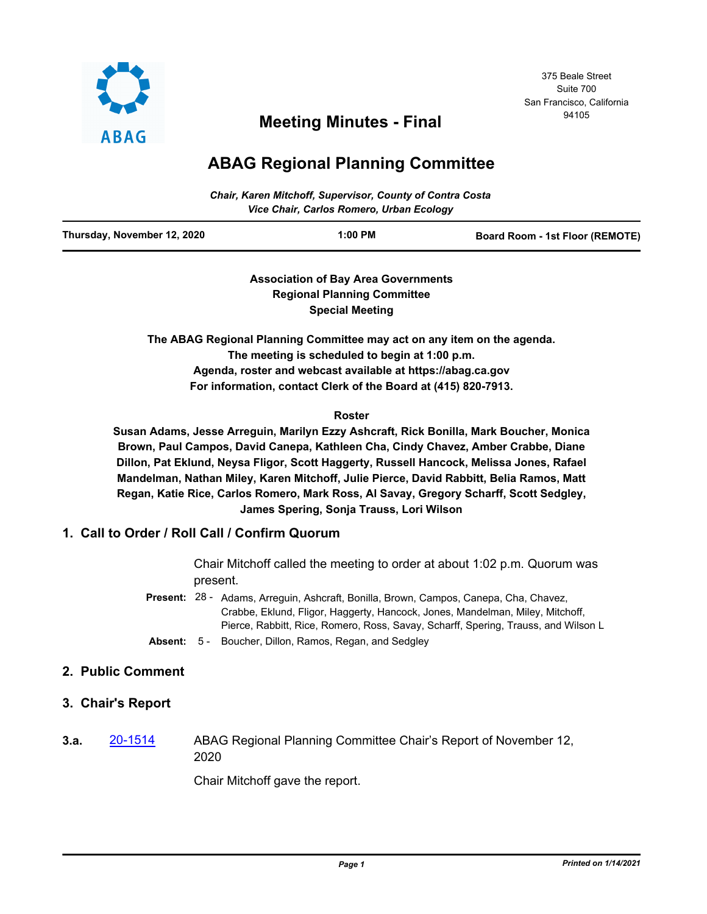

# <sup>94105</sup> **Meeting Minutes - Final**

## **ABAG Regional Planning Committee**

| <b>Chair, Karen Mitchoff, Supervisor, County of Contra Costa</b><br>Vice Chair, Carlos Romero, Urban Ecology |           |                                        |
|--------------------------------------------------------------------------------------------------------------|-----------|----------------------------------------|
| Thursday, November 12, 2020                                                                                  | $1:00$ PM | <b>Board Room - 1st Floor (REMOTE)</b> |

**Association of Bay Area Governments Regional Planning Committee Special Meeting**

**The ABAG Regional Planning Committee may act on any item on the agenda. The meeting is scheduled to begin at 1:00 p.m. Agenda, roster and webcast available at https://abag.ca.gov For information, contact Clerk of the Board at (415) 820-7913.**

#### **Roster**

**Susan Adams, Jesse Arreguin, Marilyn Ezzy Ashcraft, Rick Bonilla, Mark Boucher, Monica Brown, Paul Campos, David Canepa, Kathleen Cha, Cindy Chavez, Amber Crabbe, Diane Dillon, Pat Eklund, Neysa Fligor, Scott Haggerty, Russell Hancock, Melissa Jones, Rafael Mandelman, Nathan Miley, Karen Mitchoff, Julie Pierce, David Rabbitt, Belia Ramos, Matt Regan, Katie Rice, Carlos Romero, Mark Ross, Al Savay, Gregory Scharff, Scott Sedgley, James Spering, Sonja Trauss, Lori Wilson**

## **1. Call to Order / Roll Call / Confirm Quorum**

Chair Mitchoff called the meeting to order at about 1:02 p.m. Quorum was present.

- Present: 28 Adams, Arreguin, Ashcraft, Bonilla, Brown, Campos, Canepa, Cha, Chavez, Crabbe, Eklund, Fligor, Haggerty, Hancock, Jones, Mandelman, Miley, Mitchoff, Pierce, Rabbitt, Rice, Romero, Ross, Savay, Scharff, Spering, Trauss, and Wilson L
- **Absent:** 5 Boucher, Dillon, Ramos, Regan, and Sedgley

#### **2. Public Comment**

## **3. Chair's Report**

**3.a.** [20-1514](http://mtc.legistar.com/gateway.aspx?m=l&id=/matter.aspx?key=21379) ABAG Regional Planning Committee Chair's Report of November 12, 2020

Chair Mitchoff gave the report.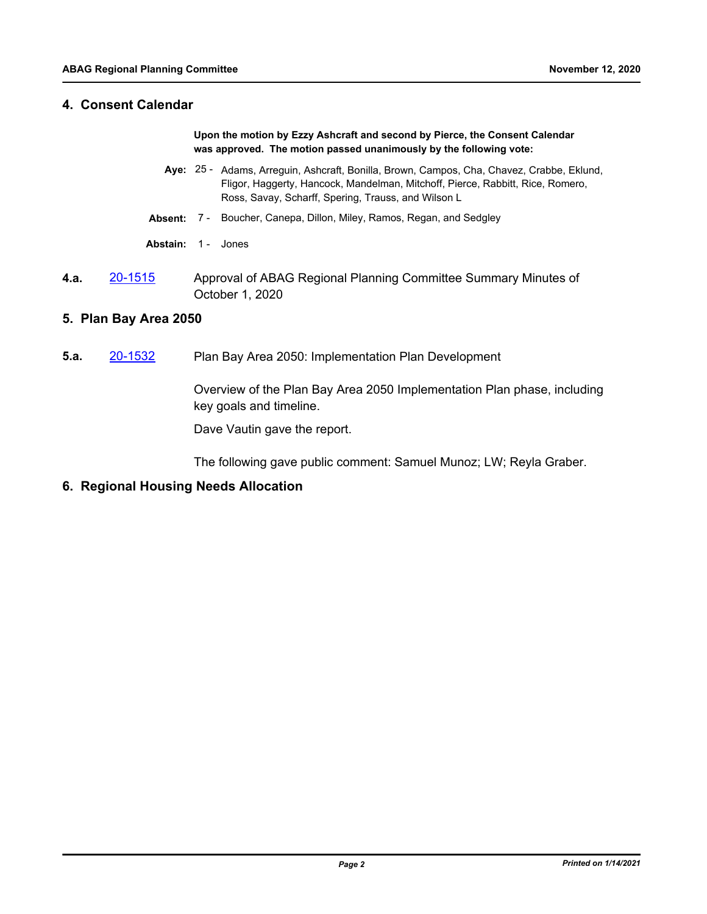#### **4. Consent Calendar**

**Upon the motion by Ezzy Ashcraft and second by Pierce, the Consent Calendar was approved. The motion passed unanimously by the following vote:**

- Aye: 25 Adams, Arreguin, Ashcraft, Bonilla, Brown, Campos, Cha, Chavez, Crabbe, Eklund, Fligor, Haggerty, Hancock, Mandelman, Mitchoff, Pierce, Rabbitt, Rice, Romero, Ross, Savay, Scharff, Spering, Trauss, and Wilson L
- **Absent:** 7 Boucher, Canepa, Dillon, Miley, Ramos, Regan, and Sedgley
- **Abstain:** 1 Jones
- **4.a.** [20-1515](http://mtc.legistar.com/gateway.aspx?m=l&id=/matter.aspx?key=21380) Approval of ABAG Regional Planning Committee Summary Minutes of October 1, 2020

#### **5. Plan Bay Area 2050**

**5.a.** [20-1532](http://mtc.legistar.com/gateway.aspx?m=l&id=/matter.aspx?key=21397) Plan Bay Area 2050: Implementation Plan Development

Overview of the Plan Bay Area 2050 Implementation Plan phase, including key goals and timeline.

Dave Vautin gave the report.

The following gave public comment: Samuel Munoz; LW; Reyla Graber.

**6. Regional Housing Needs Allocation**